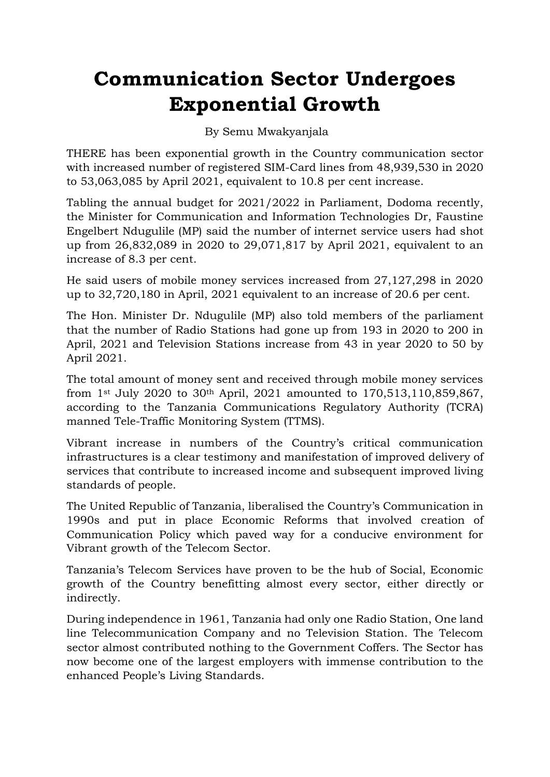## **Communication Sector Undergoes Exponential Growth**

## By Semu Mwakyanjala

THERE has been exponential growth in the Country communication sector with increased number of registered SIM-Card lines from 48,939,530 in 2020 to 53,063,085 by April 2021, equivalent to 10.8 per cent increase.

Tabling the annual budget for 2021/2022 in Parliament, Dodoma recently, the Minister for Communication and Information Technologies Dr, Faustine Engelbert Ndugulile (MP) said the number of internet service users had shot up from 26,832,089 in 2020 to 29,071,817 by April 2021, equivalent to an increase of 8.3 per cent.

He said users of mobile money services increased from 27,127,298 in 2020 up to 32,720,180 in April, 2021 equivalent to an increase of 20.6 per cent.

The Hon. Minister Dr. Ndugulile (MP) also told members of the parliament that the number of Radio Stations had gone up from 193 in 2020 to 200 in April, 2021 and Television Stations increase from 43 in year 2020 to 50 by April 2021.

The total amount of money sent and received through mobile money services from 1st July 2020 to 30th April, 2021 amounted to 170,513,110,859,867, according to the Tanzania Communications Regulatory Authority (TCRA) manned Tele-Traffic Monitoring System (TTMS).

Vibrant increase in numbers of the Country's critical communication infrastructures is a clear testimony and manifestation of improved delivery of services that contribute to increased income and subsequent improved living standards of people.

The United Republic of Tanzania, liberalised the Country's Communication in 1990s and put in place Economic Reforms that involved creation of Communication Policy which paved way for a conducive environment for Vibrant growth of the Telecom Sector.

Tanzania's Telecom Services have proven to be the hub of Social, Economic growth of the Country benefitting almost every sector, either directly or indirectly.

During independence in 1961, Tanzania had only one Radio Station, One land line Telecommunication Company and no Television Station. The Telecom sector almost contributed nothing to the Government Coffers. The Sector has now become one of the largest employers with immense contribution to the enhanced People's Living Standards.